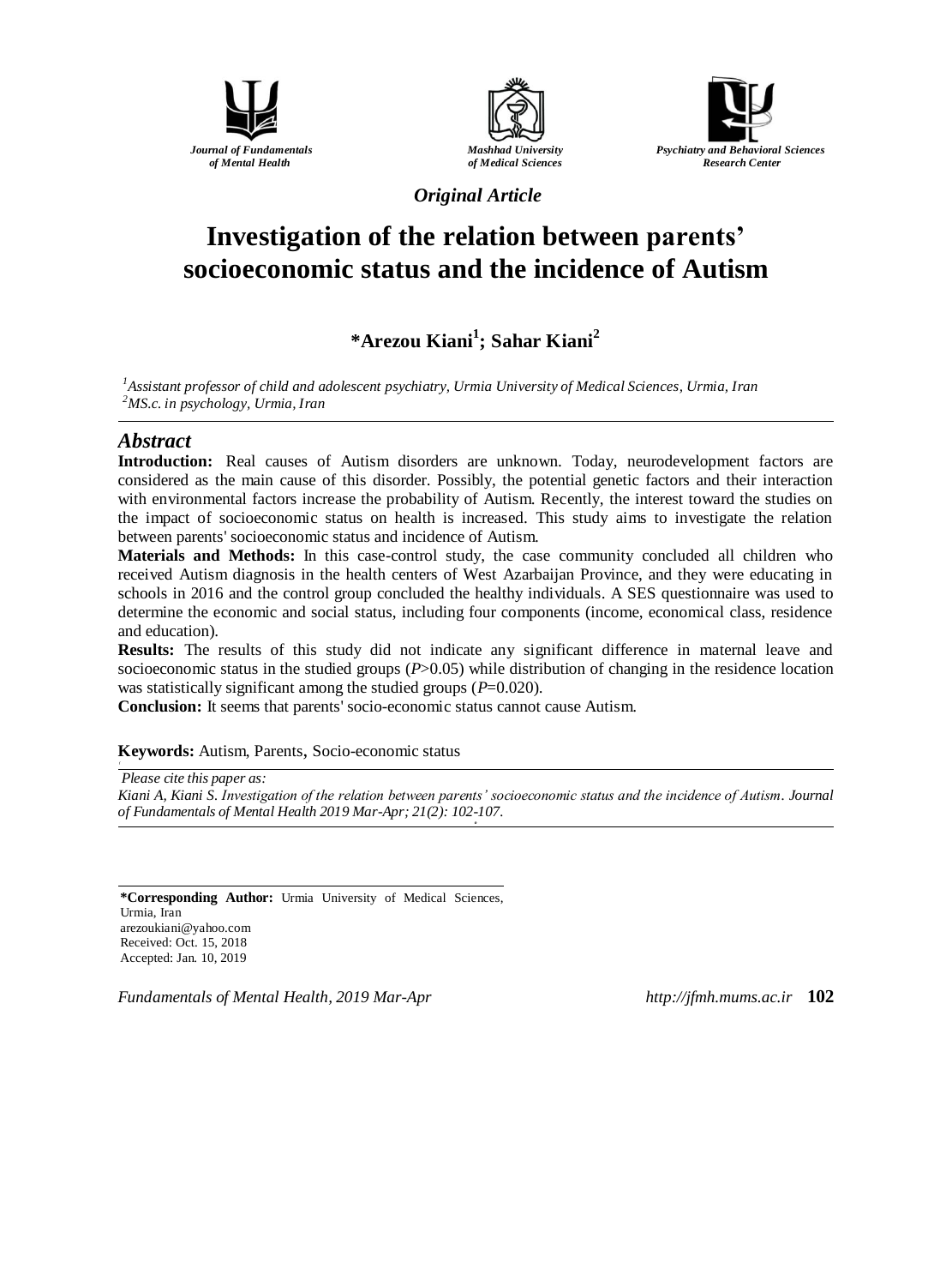





*Original Article*

# **Investigation of the relation between parents' socioeconomic status and the incidence of Autism**

## **\*Arezou Kiani<sup>1</sup> ; Sahar Kiani<sup>2</sup>**

*<sup>1</sup>Assistant professor of child and adolescent psychiatry, Urmia University of Medical Sciences, Urmia, Iran <sup>2</sup>MS.c. in psychology, Urmia, Iran*

#### *Abstract*

**Introduction:** Real causes of Autism disorders are unknown. Today, neurodevelopment factors are considered as the main cause of this disorder. Possibly, the potential genetic factors and their interaction with environmental factors increase the probability of Autism. Recently, the interest toward the studies on the impact of socioeconomic status on health is increased. This study aims to investigate the relation between parents' socioeconomic status and incidence of Autism.

**Materials and Methods:** In this case-control study, the case community concluded all children who received Autism diagnosis in the health centers of West Azarbaijan Province, and they were educating in schools in 2016 and the control group concluded the healthy individuals. A SES questionnaire was used to determine the economic and social status, including four components (income, economical class, residence and education).

**Results:** The results of this study did not indicate any significant difference in maternal leave and socioeconomic status in the studied groups (*P*>0.05) while distribution of changing in the residence location was statistically significant among the studied groups ( $P=0.020$ ).

**Conclusion:** It seems that parents' socio-economic status cannot cause Autism.

#### **Keywords:** Autism, Parents, Socio-economic status

*Please cite this paper as: Kiani A, Kiani S. Investigation of the relation between parents' socioeconomic status and the incidence of Autism. Journal of Fundamentals of Mental Health 2019 Mar-Apr; 21(2): 102-107. o*

**\*Corresponding Author:** Urmia University of Medical Sciences, Urmia, Iran [arezoukiani@yahoo.com](mailto:arezoukiani@yahoo.com) Received: Oct. 15, 2018 Accepted: Jan. 10, 2019

*Fundamentals of Mental Health, 2019 Mar-Apr http://jfmh.mums.ac.ir* **102**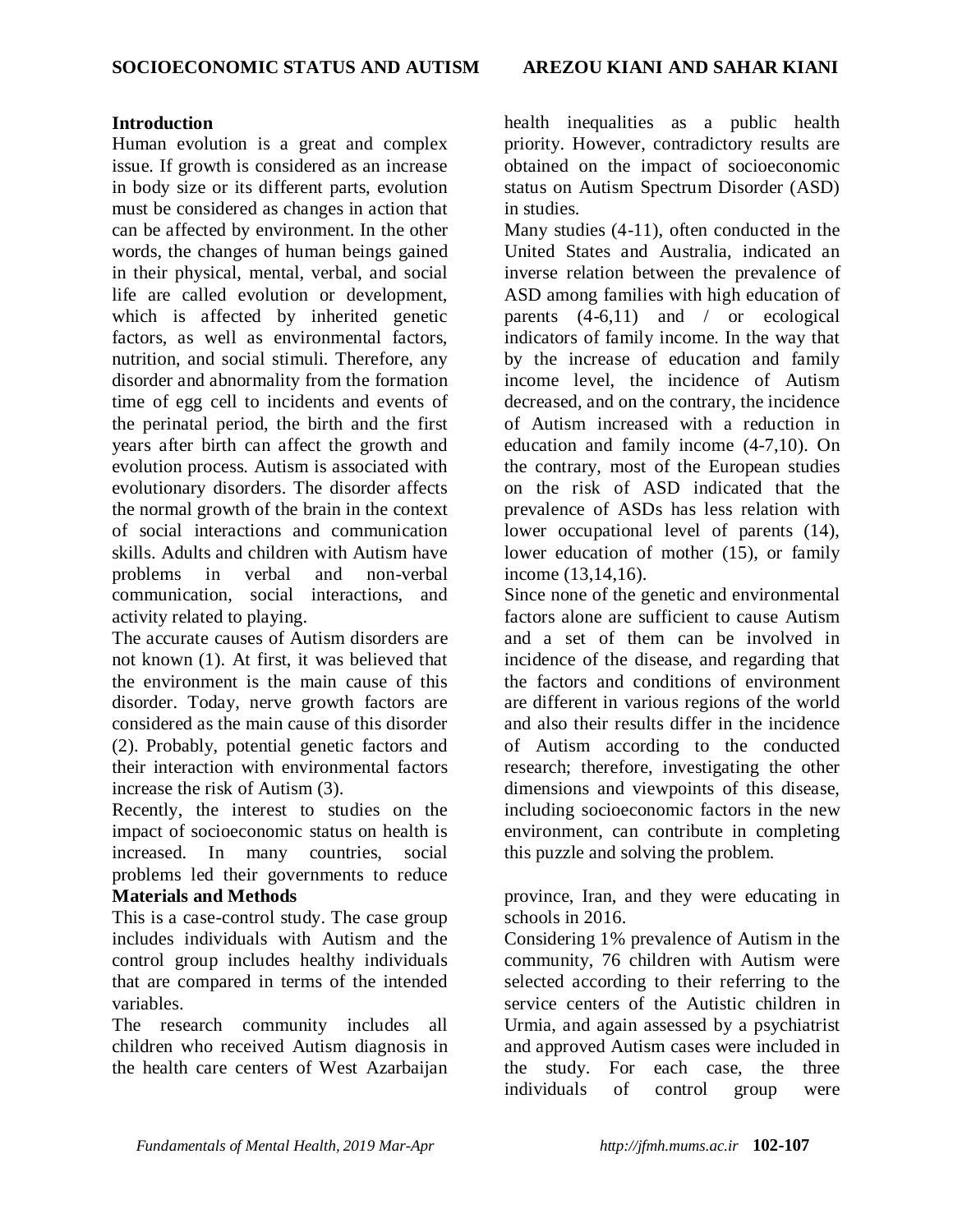#### **Introduction**

Human evolution is a great and complex issue. If growth is considered as an increase in body size or its different parts, evolution must be considered as changes in action that can be affected by environment. In the other words, the changes of human beings gained in their physical, mental, verbal, and social life are called evolution or development, which is affected by inherited genetic factors, as well as environmental factors, nutrition, and social stimuli. Therefore, any disorder and abnormality from the formation time of egg cell to incidents and events of the perinatal period, the birth and the first years after birth can affect the growth and evolution process. Autism is associated with evolutionary disorders. The disorder affects the normal growth of the brain in the context of social interactions and communication skills. Adults and children with Autism have problems in verbal and non-verbal communication, social interactions, and activity related to playing.

The accurate causes of Autism disorders are not known (1). At first, it was believed that the environment is the main cause of this disorder. Today, nerve growth factors are considered as the main cause of this disorder (2). Probably, potential genetic factors and their interaction with environmental factors increase the risk of Autism (3).

Recently, the interest to studies on the impact of socioeconomic status on health is increased. In many countries, social problems led their governments to reduce **Materials and Methods**

This is a case-control study. The case group includes individuals with Autism and the control group includes healthy individuals that are compared in terms of the intended variables.

The research community includes all children who received Autism diagnosis in the health care centers of West Azarbaijan health inequalities as a public health priority. However, contradictory results are obtained on the impact of socioeconomic status on Autism Spectrum Disorder (ASD) in studies.

Many studies (4-11), often conducted in the United States and Australia, indicated an inverse relation between the prevalence of ASD among families with high education of parents  $(4-6,11)$  and / or ecological indicators of family income. In the way that by the increase of education and family income level, the incidence of Autism decreased, and on the contrary, the incidence of Autism increased with a reduction in education and family income (4-7,10). On the contrary, most of the European studies on the risk of ASD indicated that the prevalence of ASDs has less relation with lower occupational level of parents (14), lower education of mother (15), or family income (13,14,16).

Since none of the genetic and environmental factors alone are sufficient to cause Autism and a set of them can be involved in incidence of the disease, and regarding that the factors and conditions of environment are different in various regions of the world and also their results differ in the incidence of Autism according to the conducted research; therefore, investigating the other dimensions and viewpoints of this disease, including socioeconomic factors in the new environment, can contribute in completing this puzzle and solving the problem.

province, Iran, and they were educating in schools in 2016.

Considering 1% prevalence of Autism in the community, 76 children with Autism were selected according to their referring to the service centers of the Autistic children in Urmia, and again assessed by a psychiatrist and approved Autism cases were included in the study. For each case, the three individuals of control group were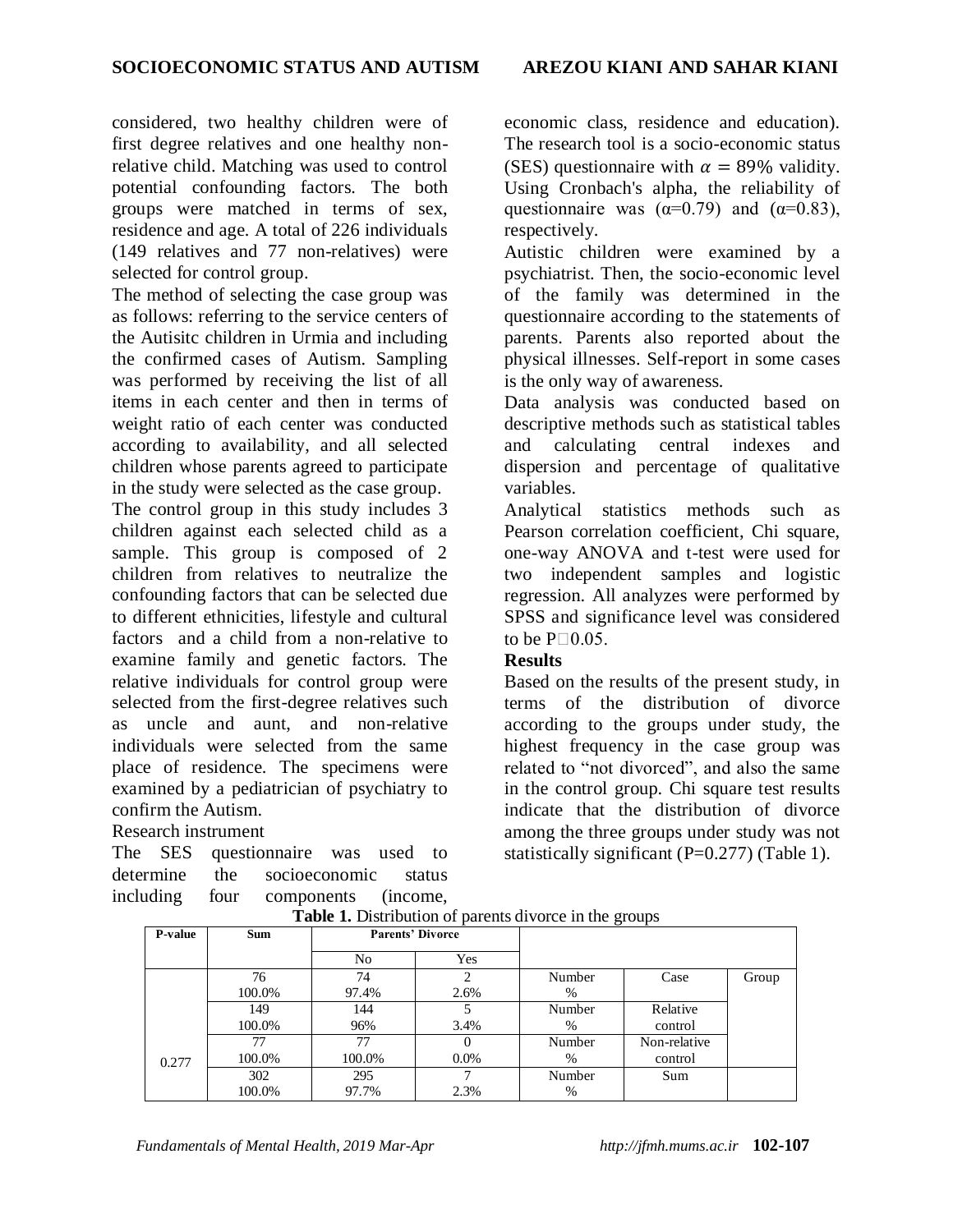considered, two healthy children were of first degree relatives and one healthy nonrelative child. Matching was used to control potential confounding factors. The both groups were matched in terms of sex, residence and age. A total of 226 individuals (149 relatives and 77 non-relatives) were selected for control group.

The method of selecting the case group was as follows: referring to the service centers of the Autisitc children in Urmia and including the confirmed cases of Autism. Sampling was performed by receiving the list of all items in each center and then in terms of weight ratio of each center was conducted according to availability, and all selected children whose parents agreed to participate in the study were selected as the case group. The control group in this study includes 3 children against each selected child as a sample. This group is composed of 2 children from relatives to neutralize the confounding factors that can be selected due to different ethnicities, lifestyle and cultural factors and a child from a non-relative to examine family and genetic factors. The relative individuals for control group were selected from the first-degree relatives such as uncle and aunt, and non-relative

individuals were selected from the same place of residence. The specimens were examined by a pediatrician of psychiatry to confirm the Autism.

#### Research instrument

The SES questionnaire was used to determine the socioeconomic status including four components (income, economic class, residence and education). The research tool is a socio-economic status (SES) questionnaire with  $\alpha = 89\%$  validity. Using Cronbach's alpha, the reliability of questionnaire was  $(\alpha=0.79)$  and  $(\alpha=0.83)$ , respectively.

Autistic children were examined by a psychiatrist. Then, the socio-economic level of the family was determined in the questionnaire according to the statements of parents. Parents also reported about the physical illnesses. Self-report in some cases is the only way of awareness.

Data analysis was conducted based on descriptive methods such as statistical tables and calculating central indexes and dispersion and percentage of qualitative variables.

Analytical statistics methods such as Pearson correlation coefficient, Chi square, one-way ANOVA and t-test were used for two independent samples and logistic regression. All analyzes were performed by SPSS and significance level was considered to be  $P \square 0.05$ .

#### **Results**

Based on the results of the present study, in terms of the distribution of divorce according to the groups under study, the highest frequency in the case group was related to "not divorced", and also the same in the control group. Chi square test results indicate that the distribution of divorce among the three groups under study was not statistically significant (P=0.277) (Table 1).

| <b>P-value</b> | <b>Sum</b> | <b>Parents' Divorce</b> |         |        |              |       |
|----------------|------------|-------------------------|---------|--------|--------------|-------|
|                |            | No                      | Yes     |        |              |       |
|                | 76         | 74                      | າ       | Number | Case         | Group |
|                | 100.0%     | 97.4%                   | 2.6%    | %      |              |       |
|                | 149        | 144                     |         | Number | Relative     |       |
|                | 100.0%     | 96%                     | 3.4%    | %      | control      |       |
|                | 77         | 77                      |         | Number | Non-relative |       |
| 0.277          | 100.0%     | 100.0%                  | $0.0\%$ | %      | control      |       |
|                | 302        | 295                     |         | Number | Sum          |       |
|                | 100.0%     | 97.7%                   | 2.3%    | %      |              |       |

**Table 1.** Distribution of parents divorce in the groups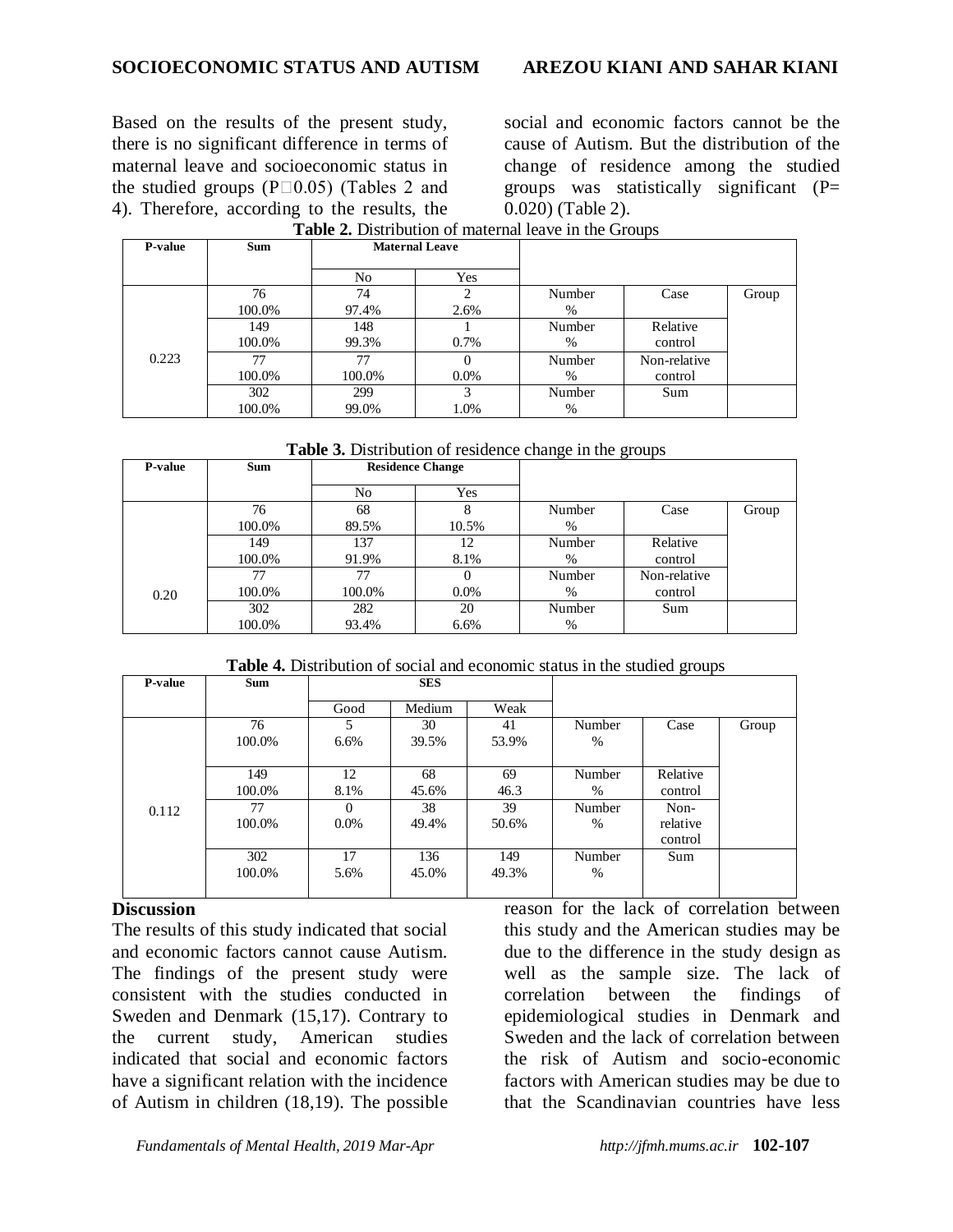Based on the results of the present study, there is no significant difference in terms of maternal leave and socioeconomic status in the studied groups ( $P \Box 0.05$ ) (Tables 2 and 4). Therefore, according to the results, the social and economic factors cannot be the cause of Autism. But the distribution of the change of residence among the studied groups was statistically significant  $(P=$ 0.020) (Table 2).

| <b>P-value</b> | <b>Sum</b> | <b>Maternal Leave</b> |          |        |              |       |
|----------------|------------|-----------------------|----------|--------|--------------|-------|
|                |            | N <sub>0</sub>        | Yes      |        |              |       |
|                | 76         | 74                    | 2        | Number | Case         | Group |
| 0.223          | 100.0%     | 97.4%                 | 2.6%     | %      |              |       |
|                | 149        | 148                   |          | Number | Relative     |       |
|                | 100.0%     | 99.3%                 | $0.7\%$  | $\%$   | control      |       |
|                | 77         | 77                    | $\Omega$ | Number | Non-relative |       |
|                | 100.0%     | 100.0%                | $0.0\%$  | $\%$   | control      |       |
|                | 302        | 299                   | 3        | Number | Sum          |       |
|                | 100.0%     | 99.0%                 | 1.0%     | %      |              |       |

#### **Table 2.** Distribution of maternal leave in the Groups

**Table 3.** Distribution of residence change in the groups

| P-value | <b>Sum</b> | <b>Residence Change</b> |         |        |              |       |
|---------|------------|-------------------------|---------|--------|--------------|-------|
|         |            | N <sub>0</sub>          | Yes     |        |              |       |
|         | 76         | 68                      | 8       | Number | Case         | Group |
|         | 100.0%     | 89.5%                   | 10.5%   | $\%$   |              |       |
|         | 149        | 137                     | 12      | Number | Relative     |       |
|         | 100.0%     | 91.9%                   | 8.1%    | $\%$   | control      |       |
|         | 77         | 77                      | 0       | Number | Non-relative |       |
| 0.20    | 100.0%     | 100.0%                  | $0.0\%$ | $\%$   | control      |       |
|         | 302        | 282                     | 20      | Number | Sum          |       |
|         | 100.0%     | 93.4%                   | 6.6%    | $\%$   |              |       |

**Table 4.** Distribution of social and economic status in the studied groups

| P-value | <b>Sum</b> | <b>SES</b> |        |       |        |          |       |
|---------|------------|------------|--------|-------|--------|----------|-------|
|         |            | Good       | Medium | Weak  |        |          |       |
|         | 76         |            | 30     | 41    | Number | Case     | Group |
|         | 100.0%     | 6.6%       | 39.5%  | 53.9% | $\%$   |          |       |
|         |            |            |        |       |        |          |       |
|         | 149        | 12         | 68     | 69    | Number | Relative |       |
| 0.112   | 100.0%     | 8.1%       | 45.6%  | 46.3  | $\%$   | control  |       |
|         | 77         | 0          | 38     | 39    | Number | Non-     |       |
|         | 100.0%     | $0.0\%$    | 49.4%  | 50.6% | $\%$   | relative |       |
|         |            |            |        |       |        | control  |       |
|         | 302        | 17         | 136    | 149   | Number | Sum      |       |
|         | 100.0%     | 5.6%       | 45.0%  | 49.3% | %      |          |       |
|         |            |            |        |       |        |          |       |

#### **Discussion**

The results of this study indicated that social and economic factors cannot cause Autism. The findings of the present study were consistent with the studies conducted in Sweden and Denmark (15,17). Contrary to the current study, American studies indicated that social and economic factors have a significant relation with the incidence of Autism in children (18,19). The possible reason for the lack of correlation between this study and the American studies may be due to the difference in the study design as well as the sample size. The lack of correlation between the findings of epidemiological studies in Denmark and Sweden and the lack of correlation between the risk of Autism and socio-economic factors with American studies may be due to that the Scandinavian countries have less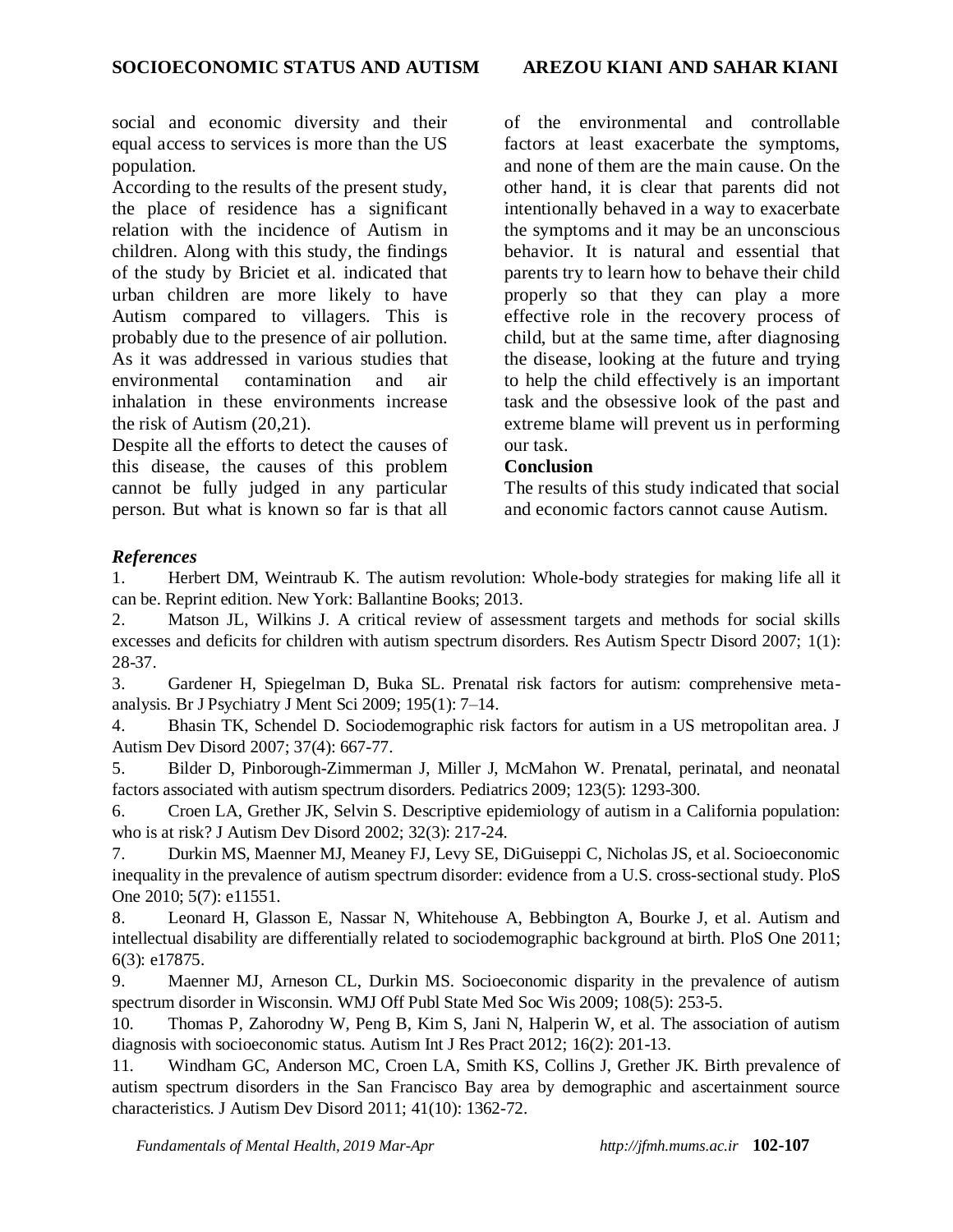social and economic diversity and their equal access to services is more than the US population.

According to the results of the present study, the place of residence has a significant relation with the incidence of Autism in children. Along with this study, the findings of the study by Briciet et al. indicated that urban children are more likely to have Autism compared to villagers. This is probably due to the presence of air pollution. As it was addressed in various studies that environmental contamination and air inhalation in these environments increase the risk of Autism (20,21).

Despite all the efforts to detect the causes of this disease, the causes of this problem cannot be fully judged in any particular person. But what is known so far is that all of the environmental and controllable factors at least exacerbate the symptoms, and none of them are the main cause. On the other hand, it is clear that parents did not intentionally behaved in a way to exacerbate the symptoms and it may be an unconscious behavior. It is natural and essential that parents try to learn how to behave their child properly so that they can play a more effective role in the recovery process of child, but at the same time, after diagnosing the disease, looking at the future and trying to help the child effectively is an important task and the obsessive look of the past and extreme blame will prevent us in performing our task.

#### **Conclusion**

The results of this study indicated that social and economic factors cannot cause Autism.

### *References*

1. Herbert DM, Weintraub K. The autism revolution: Whole-body strategies for making life all it can be. Reprint edition. New York: Ballantine Books; 2013.

2. Matson JL, Wilkins J. A critical review of assessment targets and methods for social skills excesses and deficits for children with autism spectrum disorders. Res Autism Spectr Disord 2007; 1(1): 28-37.

3. Gardener H, Spiegelman D, Buka SL. Prenatal risk factors for autism: comprehensive metaanalysis. Br J Psychiatry J Ment Sci 2009; 195(1): 7–14.

4. Bhasin TK, Schendel D. Sociodemographic risk factors for autism in a US metropolitan area. J Autism Dev Disord 2007; 37(4): 667-77.

5. Bilder D, Pinborough-Zimmerman J, Miller J, McMahon W. Prenatal, perinatal, and neonatal factors associated with autism spectrum disorders. Pediatrics 2009; 123(5): 1293-300.

6. Croen LA, Grether JK, Selvin S. Descriptive epidemiology of autism in a California population: who is at risk? J Autism Dev Disord 2002; 32(3): 217-24.

7. Durkin MS, Maenner MJ, Meaney FJ, Levy SE, DiGuiseppi C, Nicholas JS, et al. Socioeconomic inequality in the prevalence of autism spectrum disorder: evidence from a U.S. cross-sectional study. PloS One 2010; 5(7): e11551.

8. Leonard H, Glasson E, Nassar N, Whitehouse A, Bebbington A, Bourke J, et al. Autism and intellectual disability are differentially related to sociodemographic background at birth. PloS One 2011; 6(3): e17875.

9. Maenner MJ, Arneson CL, Durkin MS. Socioeconomic disparity in the prevalence of autism spectrum disorder in Wisconsin. WMJ Off Publ State Med Soc Wis 2009; 108(5): 253-5.

10. Thomas P, Zahorodny W, Peng B, Kim S, Jani N, Halperin W, et al. The association of autism diagnosis with socioeconomic status. Autism Int J Res Pract 2012; 16(2): 201-13.

11. Windham GC, Anderson MC, Croen LA, Smith KS, Collins J, Grether JK. Birth prevalence of autism spectrum disorders in the San Francisco Bay area by demographic and ascertainment source characteristics. J Autism Dev Disord 2011; 41(10): 1362-72.